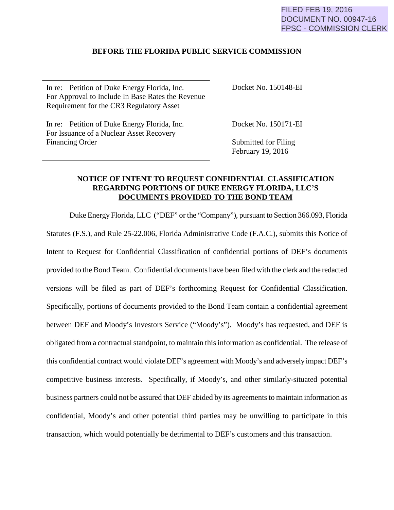## FILED FEB 19, 2016 DOCUMENT NO. 00947-16 FPSC - COMMISSION CLERK

## **BEFORE THE FLORIDA PUBLIC SERVICE COMMISSION**

In re: Petition of Duke Energy Florida, Inc. For Approval to Include In Base Rates the Revenue Requirement for the CR3 Regulatory Asset

Docket No. 150148-EI

In re: Petition of Duke Energy Florida, Inc. For Issuance of a Nuclear Asset Recovery Financing Order

Docket No. 150171-EI

Submitted for Filing February 19, 2016

## **NOTICE OF INTENT TO REQUEST CONFIDENTIAL CLASSIFICATION REGARDING PORTIONS OF DUKE ENERGY FLORIDA, LLC'S DOCUMENTS PROVIDED TO THE BOND TEAM**

Duke Energy Florida, LLC ("DEF" or the "Company"), pursuant to Section 366.093, Florida Statutes (F.S.), and Rule 25-22.006, Florida Administrative Code (F.A.C.), submits this Notice of Intent to Request for Confidential Classification of confidential portions of DEF's documents provided to the Bond Team. Confidential documents have been filed with the clerk and the redacted versions will be filed as part of DEF's forthcoming Request for Confidential Classification. Specifically, portions of documents provided to the Bond Team contain a confidential agreement between DEF and Moody's Investors Service ("Moody's"). Moody's has requested, and DEF is obligated from a contractual standpoint, to maintain this information as confidential. The release of this confidential contract would violate DEF's agreement with Moody's and adversely impact DEF's competitive business interests. Specifically, if Moody's, and other similarly-situated potential business partners could not be assured that DEF abided by its agreements to maintain information as confidential, Moody's and other potential third parties may be unwilling to participate in this transaction, which would potentially be detrimental to DEF's customers and this transaction.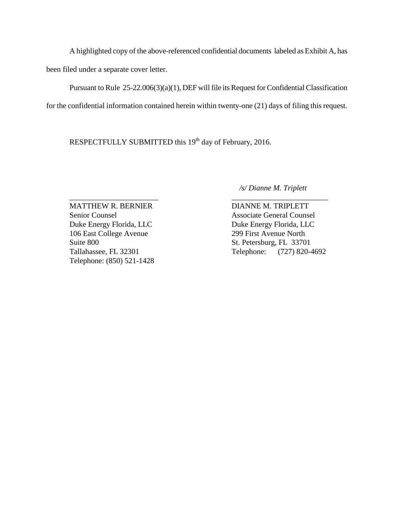A highlighted copy of the above-referenced confidential documents labeled as Exhibit A, has been filed under a separate cover letter.

 Pursuant to Rule 25-22.006(3)(a)(1), DEF will file its Request for Confidential Classification for the confidential information contained herein within twenty-one (21) days of filing this request.

RESPECTFULLY SUBMITTED this 19<sup>th</sup> day of February, 2016.

 */s/ Dianne M. Triplett*

\_\_\_\_\_\_\_\_\_\_\_\_\_\_\_\_\_\_\_\_\_\_\_ \_\_\_\_\_\_\_\_\_\_\_\_\_\_\_\_\_\_\_\_\_\_\_\_\_ MATTHEW R. BERNIER DIANNE M. TRIPLETT Senior Counsel Associate General Counsel Duke Energy Florida, LLC<br>Duke Energy Florida, LLC 106 East College Avenue 299 First Avenue North Suite 800 St. Petersburg, FL 33701 Telephone: (850) 521-1428

Tallahassee, FL 32301 Telephone: (727) 820-4692